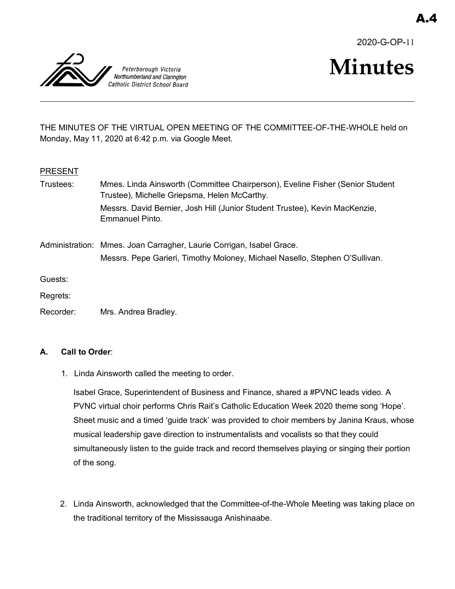2020-G-OP-11



# **Minutes**

THE MINUTES OF THE VIRTUAL OPEN MEETING OF THE COMMITTEE-OF-THE-WHOLE held on Monday, May 11, 2020 at 6:42 p.m. via Google Meet.

## **PRESENT**

| Trustees: | Mmes. Linda Ainsworth (Committee Chairperson), Eveline Fisher (Senior Student<br>Trustee), Michelle Griepsma, Helen McCarthy.                       |
|-----------|-----------------------------------------------------------------------------------------------------------------------------------------------------|
|           | Messrs. David Bernier, Josh Hill (Junior Student Trustee), Kevin MacKenzie,<br>Emmanuel Pinto.                                                      |
|           | Administration: Mmes. Joan Carragher, Laurie Corrigan, Isabel Grace.<br>Messrs. Pepe Garieri, Timothy Moloney, Michael Nasello, Stephen O'Sullivan. |
| Guests:   |                                                                                                                                                     |
| Regrets:  |                                                                                                                                                     |
| Recorder: | Mrs. Andrea Bradley.                                                                                                                                |

# **A. Call to Order**:

1. Linda Ainsworth called the meeting to order.

Isabel Grace, Superintendent of Business and Finance, shared a #PVNC leads video. A PVNC virtual choir performs Chris Rait's Catholic Education Week 2020 theme song 'Hope'. Sheet music and a timed 'guide track' was provided to choir members by Janina Kraus, whose musical leadership gave direction to instrumentalists and vocalists so that they could simultaneously listen to the guide track and record themselves playing or singing their portion of the song.

2. Linda Ainsworth, acknowledged that the Committee-of-the-Whole Meeting was taking place on the traditional territory of the Mississauga Anishinaabe.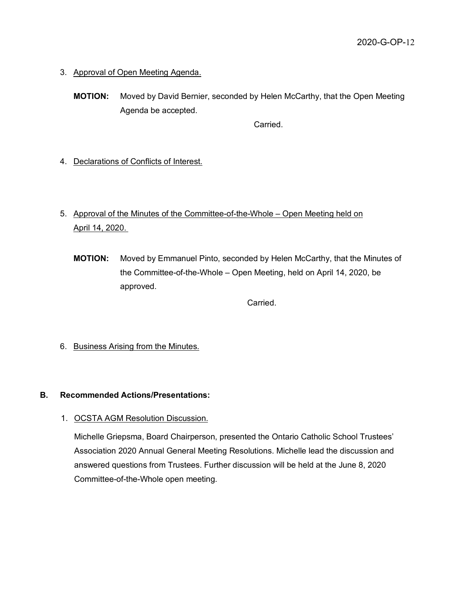- 3. Approval of Open Meeting Agenda.
	- **MOTION:** Moved by David Bernier, seconded by Helen McCarthy, that the Open Meeting Agenda be accepted.

Carried.

- 4. Declarations of Conflicts of Interest.
- 5. Approval of the Minutes of the Committee-of-the-Whole Open Meeting held on April 14, 2020.
	- **MOTION:** Moved by Emmanuel Pinto, seconded by Helen McCarthy, that the Minutes of the Committee-of-the-Whole – Open Meeting, held on April 14, 2020, be approved.

**Carried** 

6. Business Arising from the Minutes.

#### **B. Recommended Actions/Presentations:**

1. OCSTA AGM Resolution Discussion.

Michelle Griepsma, Board Chairperson, presented the Ontario Catholic School Trustees' Association 2020 Annual General Meeting Resolutions. Michelle lead the discussion and answered questions from Trustees. Further discussion will be held at the June 8, 2020 Committee-of-the-Whole open meeting.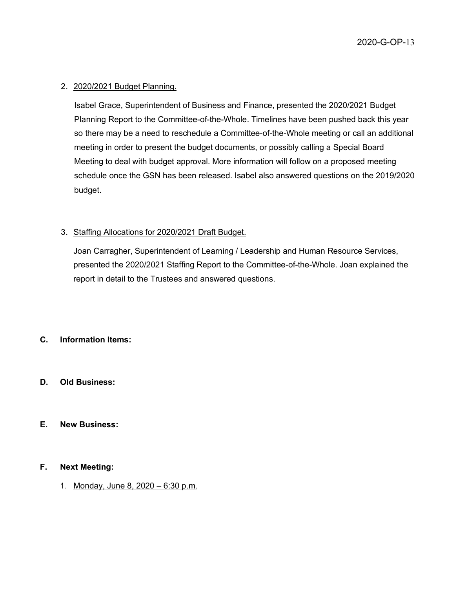#### 2. 2020/2021 Budget Planning.

Isabel Grace, Superintendent of Business and Finance, presented the 2020/2021 Budget Planning Report to the Committee-of-the-Whole. Timelines have been pushed back this year so there may be a need to reschedule a Committee-of-the-Whole meeting or call an additional meeting in order to present the budget documents, or possibly calling a Special Board Meeting to deal with budget approval. More information will follow on a proposed meeting schedule once the GSN has been released. Isabel also answered questions on the 2019/2020 budget.

#### 3. Staffing Allocations for 2020/2021 Draft Budget.

Joan Carragher, Superintendent of Learning / Leadership and Human Resource Services, presented the 2020/2021 Staffing Report to the Committee-of-the-Whole. Joan explained the report in detail to the Trustees and answered questions.

## **C. Information Items:**

#### **D. Old Business:**

#### **E. New Business:**

#### **F. Next Meeting:**

1. Monday, June 8, 2020 – 6:30 p.m.